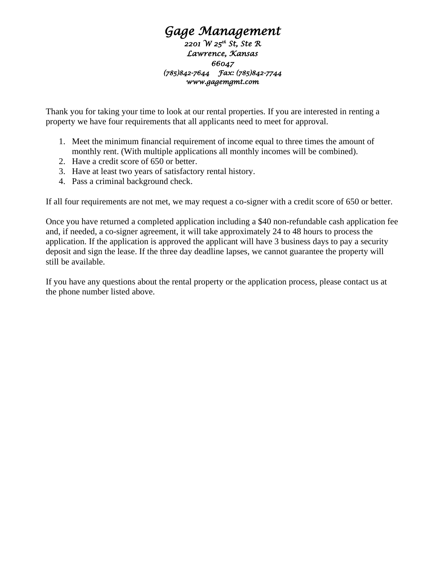## *Gage Management*

*2201 W 25th St, Ste R Lawrence, Kansas 66047 (785)842-7644 Fax: (785)842-7744 www.gagemgmt.com* 

Thank you for taking your time to look at our rental properties. If you are interested in renting a property we have four requirements that all applicants need to meet for approval.

- 1. Meet the minimum financial requirement of income equal to three times the amount of monthly rent. (With multiple applications all monthly incomes will be combined).
- 2. Have a credit score of 650 or better.
- 3. Have at least two years of satisfactory rental history.
- 4. Pass a criminal background check.

If all four requirements are not met, we may request a co-signer with a credit score of 650 or better.

Once you have returned a completed application including a \$40 non-refundable cash application fee and, if needed, a co-signer agreement, it will take approximately 24 to 48 hours to process the application. If the application is approved the applicant will have 3 business days to pay a security deposit and sign the lease. If the three day deadline lapses, we cannot guarantee the property will still be available.

If you have any questions about the rental property or the application process, please contact us at the phone number listed above.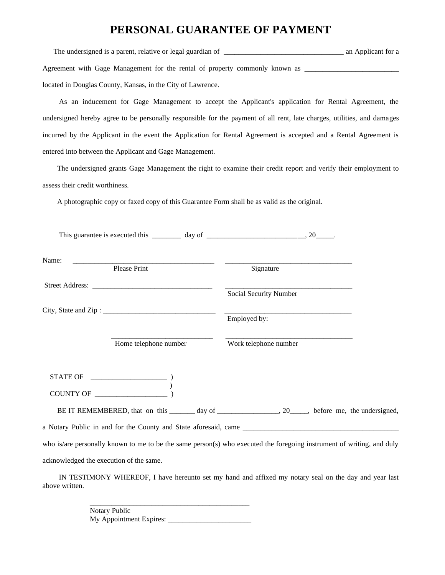## **PERSONAL GUARANTEE OF PAYMENT**

The undersigned is a parent, relative or legal guardian of **\_\_\_\_\_\_\_\_\_\_\_\_\_\_\_\_\_\_\_\_\_\_\_\_\_** an Applicant for a Agreement with Gage Management for the rental of property commonly known as **\_\_\_\_\_\_\_\_\_\_\_\_\_** located in Douglas County, Kansas, in the City of Lawrence.

 As an inducement for Gage Management to accept the Applicant's application for Rental Agreement, the undersigned hereby agree to be personally responsible for the payment of all rent, late charges, utilities, and damages incurred by the Applicant in the event the Application for Rental Agreement is accepted and a Rental Agreement is entered into between the Applicant and Gage Management.

 The undersigned grants Gage Management the right to examine their credit report and verify their employment to assess their credit worthiness.

A photographic copy or faxed copy of this Guarantee Form shall be as valid as the original.

| This guarantee is executed this $\frac{1}{\text{day of}}$ day of $\frac{1}{\text{day of}}$                                                                                                                                                                                                                                                                                                            |                                                                                                                       |
|-------------------------------------------------------------------------------------------------------------------------------------------------------------------------------------------------------------------------------------------------------------------------------------------------------------------------------------------------------------------------------------------------------|-----------------------------------------------------------------------------------------------------------------------|
| Name:<br>Please Print                                                                                                                                                                                                                                                                                                                                                                                 | Signature                                                                                                             |
|                                                                                                                                                                                                                                                                                                                                                                                                       |                                                                                                                       |
|                                                                                                                                                                                                                                                                                                                                                                                                       | Social Security Number                                                                                                |
|                                                                                                                                                                                                                                                                                                                                                                                                       | Employed by:                                                                                                          |
| Home telephone number                                                                                                                                                                                                                                                                                                                                                                                 | Work telephone number                                                                                                 |
| $\begin{tabular}{cc} \bf STATE \, OF & \end{tabular}$<br>$\begin{picture}(150,10) \put(0,0){\line(1,0){100}} \put(15,0){\line(1,0){100}} \put(15,0){\line(1,0){100}} \put(15,0){\line(1,0){100}} \put(15,0){\line(1,0){100}} \put(15,0){\line(1,0){100}} \put(15,0){\line(1,0){100}} \put(15,0){\line(1,0){100}} \put(15,0){\line(1,0){100}} \put(15,0){\line(1,0){100}} \put(15,0){\line(1,0){100}}$ |                                                                                                                       |
|                                                                                                                                                                                                                                                                                                                                                                                                       | BE IT REMEMBERED, that on this _______ day of _________________, 20_____, before me, the undersigned,                 |
|                                                                                                                                                                                                                                                                                                                                                                                                       |                                                                                                                       |
|                                                                                                                                                                                                                                                                                                                                                                                                       | who is/are personally known to me to be the same person(s) who executed the foregoing instrument of writing, and duly |
| acknowledged the execution of the same.                                                                                                                                                                                                                                                                                                                                                               |                                                                                                                       |

 IN TESTIMONY WHEREOF, I have hereunto set my hand and affixed my notary seal on the day and year last above written.

> Notary Public My Appointment Expires: \_\_\_\_\_\_\_\_\_\_\_\_\_\_\_\_\_\_\_\_\_\_\_

\_\_\_\_\_\_\_\_\_\_\_\_\_\_\_\_\_\_\_\_\_\_\_\_\_\_\_\_\_\_\_\_\_\_\_\_\_\_\_\_\_\_\_\_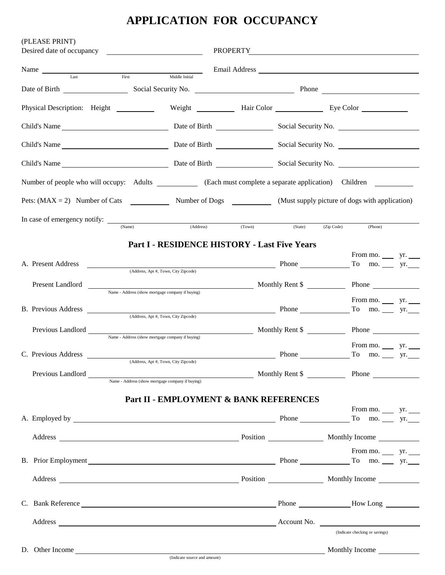## **APPLICATION FOR OCCUPANCY**

| (PLEASE PRINT)<br>Desired date of occupancy <b>example 20</b>                                                                                                                                                                  |                                                  |                                                     |        | PROPERTY THE CONSTRUCTION OF THE CONSTRUCTION OF THE CONSTRUCTION OF THE CONSTRUCTION OF THE CONSTRUCTION OF THE CONSTRUCTION OF THE CONSTRUCTION OF THE CONSTRUCTION OF THE CONSTRUCTION OF THE CONSTRUCTION OF THE CONSTRUCT |                                                                                          |  |
|--------------------------------------------------------------------------------------------------------------------------------------------------------------------------------------------------------------------------------|--------------------------------------------------|-----------------------------------------------------|--------|--------------------------------------------------------------------------------------------------------------------------------------------------------------------------------------------------------------------------------|------------------------------------------------------------------------------------------|--|
| Name Last First Middle Initial                                                                                                                                                                                                 |                                                  |                                                     |        |                                                                                                                                                                                                                                |                                                                                          |  |
|                                                                                                                                                                                                                                |                                                  |                                                     |        |                                                                                                                                                                                                                                |                                                                                          |  |
| Physical Description: Height ___________ Weight _____________ Hair Color _______________ Eye Color ___________                                                                                                                 |                                                  |                                                     |        |                                                                                                                                                                                                                                |                                                                                          |  |
|                                                                                                                                                                                                                                |                                                  |                                                     |        |                                                                                                                                                                                                                                |                                                                                          |  |
|                                                                                                                                                                                                                                |                                                  |                                                     |        |                                                                                                                                                                                                                                |                                                                                          |  |
|                                                                                                                                                                                                                                |                                                  |                                                     |        |                                                                                                                                                                                                                                |                                                                                          |  |
| Number of people who will occupy: Adults ____________ (Each must complete a separate application) Children _________                                                                                                           |                                                  |                                                     |        |                                                                                                                                                                                                                                |                                                                                          |  |
| Pets: $(MAX = 2)$ Number of Cats Number of Dogs (Must supply picture of dogs with application)                                                                                                                                 |                                                  |                                                     |        |                                                                                                                                                                                                                                |                                                                                          |  |
|                                                                                                                                                                                                                                | (Name)                                           | (Address)                                           | (Town) | (State)                                                                                                                                                                                                                        | (Zip Code)<br>(Phone)                                                                    |  |
|                                                                                                                                                                                                                                |                                                  | <b>Part I - RESIDENCE HISTORY - Last Five Years</b> |        |                                                                                                                                                                                                                                |                                                                                          |  |
|                                                                                                                                                                                                                                |                                                  |                                                     |        |                                                                                                                                                                                                                                | From mo. $\_\_\_\$ yr. $\_\_\_\$                                                         |  |
| A. Present Address                                                                                                                                                                                                             |                                                  | (Address, Apt #, Town, City Zipcode)                |        |                                                                                                                                                                                                                                | $\frac{1}{2}$ Phone $\frac{1}{2}$ To mo. $\frac{1}{2}$ yr.                               |  |
| Present Landlord                                                                                                                                                                                                               | Name - Address (show mortgage company if buying) |                                                     |        |                                                                                                                                                                                                                                | Monthly Rent \$ Phone                                                                    |  |
|                                                                                                                                                                                                                                |                                                  |                                                     |        |                                                                                                                                                                                                                                | From mo. $\_\_\_$ yr. $\_\_$                                                             |  |
| B. Previous Address                                                                                                                                                                                                            |                                                  | (Address, Apt #, Town, City Zipcode)                |        |                                                                                                                                                                                                                                | $\begin{array}{cccc}\n\text{Phone} & \text{To} & \text{mo.} & \text{yr.} \\ \end{array}$ |  |
| Previous Landlord                                                                                                                                                                                                              | Name - Address (show mortgage company if buying) |                                                     |        |                                                                                                                                                                                                                                | Monthly Rent \$ Phone                                                                    |  |
| C. Previous Address                                                                                                                                                                                                            |                                                  |                                                     |        | Phone                                                                                                                                                                                                                          | From mo. $\_\_\_\$ yr.<br>To mo. $rr$ yr.                                                |  |
|                                                                                                                                                                                                                                | (Address, Apt #, Town, City Zipcode)             |                                                     |        |                                                                                                                                                                                                                                |                                                                                          |  |
|                                                                                                                                                                                                                                |                                                  |                                                     |        |                                                                                                                                                                                                                                |                                                                                          |  |
|                                                                                                                                                                                                                                |                                                  | Part II - EMPLOYMENT & BANK REFERENCES              |        |                                                                                                                                                                                                                                |                                                                                          |  |
|                                                                                                                                                                                                                                |                                                  |                                                     |        |                                                                                                                                                                                                                                | From mo. $\_\_\_$ yr.                                                                    |  |
|                                                                                                                                                                                                                                |                                                  |                                                     |        |                                                                                                                                                                                                                                |                                                                                          |  |
|                                                                                                                                                                                                                                |                                                  |                                                     |        |                                                                                                                                                                                                                                | From mo. $\_\_\$ yr.                                                                     |  |
| B. Prior Employment FILE STRAIN CONTROL Phone FILE STRAIN CONTROL PHONE CONTROL PHONE CONTROL PHONE CONTROL PHONE CONTROL PHONE CONTROL PHONE CONTROL PHONE CONTROL PHONE CONTROL PHONE CONTROL PHONE CONTROL PHONE CONTROL PH |                                                  |                                                     |        |                                                                                                                                                                                                                                |                                                                                          |  |
|                                                                                                                                                                                                                                |                                                  |                                                     |        |                                                                                                                                                                                                                                |                                                                                          |  |
|                                                                                                                                                                                                                                |                                                  |                                                     |        |                                                                                                                                                                                                                                |                                                                                          |  |
|                                                                                                                                                                                                                                |                                                  |                                                     |        |                                                                                                                                                                                                                                |                                                                                          |  |
|                                                                                                                                                                                                                                |                                                  |                                                     |        |                                                                                                                                                                                                                                | (Indicate checking or savings)                                                           |  |
| D. Other Income                                                                                                                                                                                                                |                                                  |                                                     |        |                                                                                                                                                                                                                                | Monthly Income                                                                           |  |